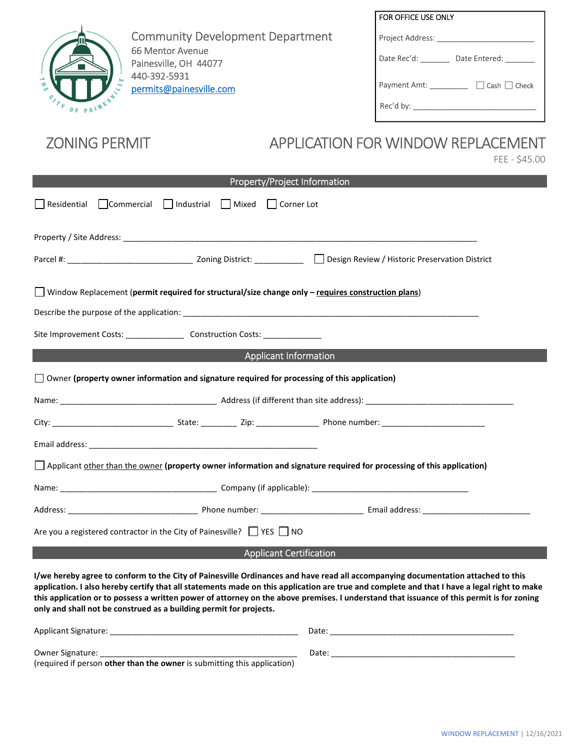

Community Development Department 66 Mentor Avenue Painesville, OH 44077 440-392-5931 permits@painesville.com

| FOR OFFICE USE ONLY                      |
|------------------------------------------|
| Project Address:                         |
| Date Rec'd:<br>Date Entered:             |
| $\Box$ Cash $\Box$ Check<br>Payment Amt: |
| Rec'd by:                                |

## ZONING PERMIT APPLICATION FOR WINDOW REPLACEMENT

FEE - \$45.00

| Property/Project Information                                                                                                                                                                                                                                                                                                                                                                                                                                                                       |  |  |  |
|----------------------------------------------------------------------------------------------------------------------------------------------------------------------------------------------------------------------------------------------------------------------------------------------------------------------------------------------------------------------------------------------------------------------------------------------------------------------------------------------------|--|--|--|
| $\Box$ Commercial $\Box$ Industrial $\Box$ Mixed $\Box$ Corner Lot<br>Residential                                                                                                                                                                                                                                                                                                                                                                                                                  |  |  |  |
|                                                                                                                                                                                                                                                                                                                                                                                                                                                                                                    |  |  |  |
|                                                                                                                                                                                                                                                                                                                                                                                                                                                                                                    |  |  |  |
| Window Replacement (permit required for structural/size change only - requires construction plans)                                                                                                                                                                                                                                                                                                                                                                                                 |  |  |  |
|                                                                                                                                                                                                                                                                                                                                                                                                                                                                                                    |  |  |  |
| Site Improvement Costs: ________________________ Construction Costs: ____________                                                                                                                                                                                                                                                                                                                                                                                                                  |  |  |  |
| <b>Applicant Information</b>                                                                                                                                                                                                                                                                                                                                                                                                                                                                       |  |  |  |
| $\Box$ Owner (property owner information and signature required for processing of this application)                                                                                                                                                                                                                                                                                                                                                                                                |  |  |  |
|                                                                                                                                                                                                                                                                                                                                                                                                                                                                                                    |  |  |  |
|                                                                                                                                                                                                                                                                                                                                                                                                                                                                                                    |  |  |  |
|                                                                                                                                                                                                                                                                                                                                                                                                                                                                                                    |  |  |  |
| Applicant other than the owner (property owner information and signature required for processing of this application)                                                                                                                                                                                                                                                                                                                                                                              |  |  |  |
|                                                                                                                                                                                                                                                                                                                                                                                                                                                                                                    |  |  |  |
|                                                                                                                                                                                                                                                                                                                                                                                                                                                                                                    |  |  |  |
| Are you a registered contractor in the City of Painesville? $\Box$ YES $\Box$ NO                                                                                                                                                                                                                                                                                                                                                                                                                   |  |  |  |
| <b>Applicant Certification</b>                                                                                                                                                                                                                                                                                                                                                                                                                                                                     |  |  |  |
| I/we hereby agree to conform to the City of Painesville Ordinances and have read all accompanying documentation attached to this<br>application. I also hereby certify that all statements made on this application are true and complete and that I have a legal right to make<br>this application or to possess a written power of attorney on the above premises. I understand that issuance of this permit is for zoning<br>only and shall not be construed as a building permit for projects. |  |  |  |

| Applicant Signature:                                                            | Date  |
|---------------------------------------------------------------------------------|-------|
| Owner Signature:                                                                | Date: |
| (required if person <b>other than the owner</b> is submitting this application) |       |